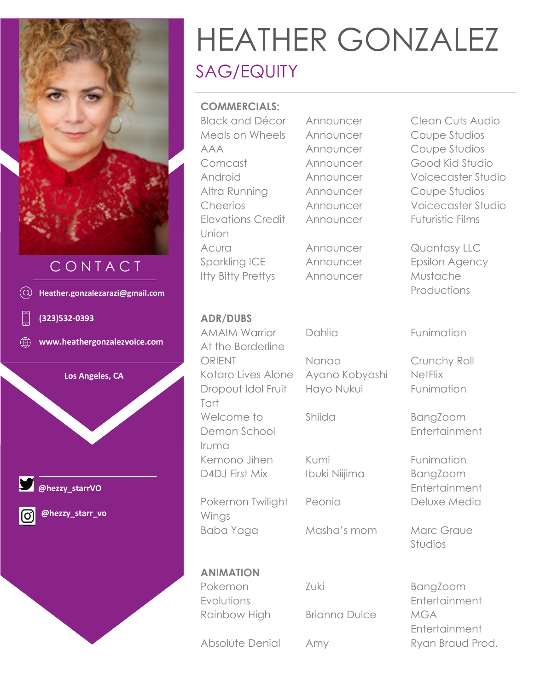

# C O N T A C T



# HEATHER GONZALEZ SAG/EQUITY

#### **COMMERCIALS:**

Black and Décor Announcer Clean Cuts Audio Meals on Wheels Announcer Coupe Studios AAA Announcer Coupe Studios Comcast Announcer Good Kid Studio Altra Running Announcer Coupe Studios Elevations Credit Union Acura **Announcer** Quantasy LLC Sparkling ICE Announcer Epsilon Agency Itty Bitty Prettys Announcer Mustache

Android Announcer Voicecaster Studio Cheerios Announcer Voicecaster Studio Announcer Futuristic Films

Productions

#### **ADR/DUBS**

AMAIM Warrior At the Borderline ORIENT Nanao Crunchy Roll Kotaro Lives Alone Ayano Kobyashi NetFlix Dropout Idol Fruit Tart Welcome to Demon School Iruma Kemono Jihen Kumi **Kumi** Funimation D4DJ First Mix Ibuki Niijima BangZoom

Pokemon Twilight Wings Baba Yaga Masha's mom Marc Graue

**ANIMATION**

Pokemon Evolutions Shiida BangZoom

Zuki BangZoom

Rainbow High Brianna Dulce MGA

Dahlia Funimation

Hayo Nukui Funimation

**Entertainment** 

**Entertainment** Peonia Deluxe Media

Studios

**Entertainment** Entertainment Absolute Denial Amy Ryan Braud Prod.